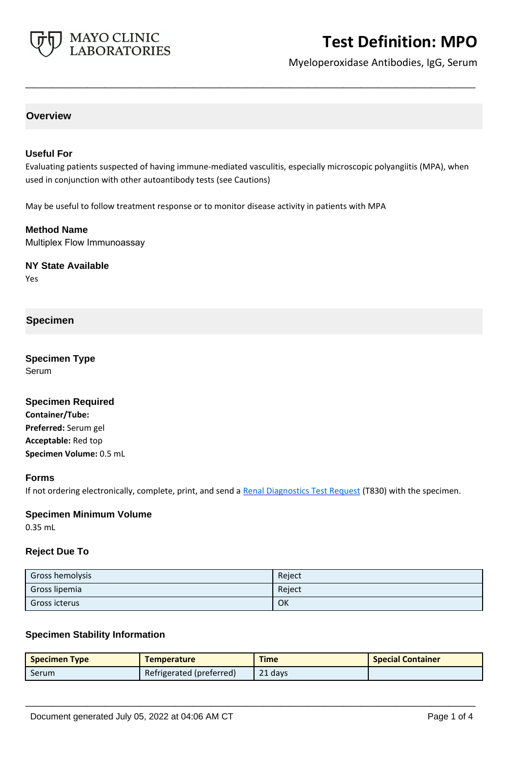

# **Test Definition: MPO**

Myeloperoxidase Antibodies, IgG, Serum

# **Overview**

### **Useful For**

Evaluating patients suspected of having immune-mediated vasculitis, especially microscopic polyangiitis (MPA), when used in conjunction with other autoantibody tests (see Cautions)

**\_\_\_\_\_\_\_\_\_\_\_\_\_\_\_\_\_\_\_\_\_\_\_\_\_\_\_\_\_\_\_\_\_\_\_\_\_\_\_\_\_\_\_\_\_\_\_\_\_\_\_**

May be useful to follow treatment response or to monitor disease activity in patients with MPA

**Method Name** Multiplex Flow Immunoassay

**NY State Available** Yes

# **Specimen**

**Specimen Type** Serum

**Specimen Required Container/Tube: Preferred:** Serum gel **Acceptable:** Red top **Specimen Volume:** 0.5 mL

#### **Forms**

If not ordering electronically, complete, print, and send a [Renal Diagnostics Test Request](https://www.mayocliniclabs.com/it-mmfiles/Renal-Diagnostics-Request-Form_MC0767-11.pdf) (T830) with the specimen.

#### **Specimen Minimum Volume**

0.35 mL

#### **Reject Due To**

| <b>Gross hemolysis</b> | Reject |
|------------------------|--------|
| Gross lipemia          | Reject |
| Gross icterus          | OK     |

#### **Specimen Stability Information**

| <b>Specimen Type</b> | <b>Temperature</b>       | <b>Time</b> | <b>Special Container</b> |
|----------------------|--------------------------|-------------|--------------------------|
| <b>Serum</b>         | Refrigerated (preferred) | 21 days     |                          |

**\_\_\_\_\_\_\_\_\_\_\_\_\_\_\_\_\_\_\_\_\_\_\_\_\_\_\_\_\_\_\_\_\_\_\_\_\_\_\_\_\_\_\_\_\_\_\_\_\_\_\_**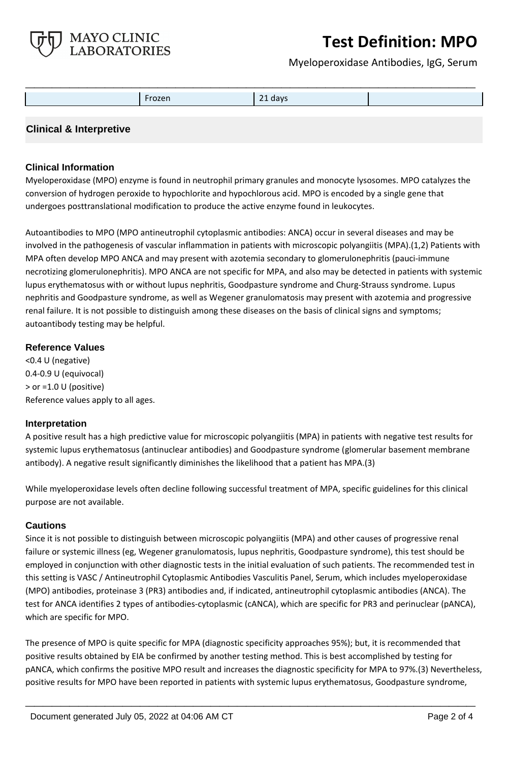

# **Test Definition: MPO**

Myeloperoxidase Antibodies, IgG, Serum

| Frozen | 21 days |  |
|--------|---------|--|
|        |         |  |

# **Clinical & Interpretive**

# **Clinical Information**

Myeloperoxidase (MPO) enzyme is found in neutrophil primary granules and monocyte lysosomes. MPO catalyzes the conversion of hydrogen peroxide to hypochlorite and hypochlorous acid. MPO is encoded by a single gene that undergoes posttranslational modification to produce the active enzyme found in leukocytes.

Autoantibodies to MPO (MPO antineutrophil cytoplasmic antibodies: ANCA) occur in several diseases and may be involved in the pathogenesis of vascular inflammation in patients with microscopic polyangiitis (MPA).(1,2) Patients with MPA often develop MPO ANCA and may present with azotemia secondary to glomerulonephritis (pauci-immune necrotizing glomerulonephritis). MPO ANCA are not specific for MPA, and also may be detected in patients with systemic lupus erythematosus with or without lupus nephritis, Goodpasture syndrome and Churg-Strauss syndrome. Lupus nephritis and Goodpasture syndrome, as well as Wegener granulomatosis may present with azotemia and progressive renal failure. It is not possible to distinguish among these diseases on the basis of clinical signs and symptoms; autoantibody testing may be helpful.

### **Reference Values**

<0.4 U (negative) 0.4-0.9 U (equivocal) > or =1.0 U (positive) Reference values apply to all ages.

### **Interpretation**

A positive result has a high predictive value for microscopic polyangiitis (MPA) in patients with negative test results for systemic lupus erythematosus (antinuclear antibodies) and Goodpasture syndrome (glomerular basement membrane antibody). A negative result significantly diminishes the likelihood that a patient has MPA.(3)

While myeloperoxidase levels often decline following successful treatment of MPA, specific guidelines for this clinical purpose are not available.

### **Cautions**

Since it is not possible to distinguish between microscopic polyangiitis (MPA) and other causes of progressive renal failure or systemic illness (eg, Wegener granulomatosis, lupus nephritis, Goodpasture syndrome), this test should be employed in conjunction with other diagnostic tests in the initial evaluation of such patients. The recommended test in this setting is VASC / Antineutrophil Cytoplasmic Antibodies Vasculitis Panel, Serum, which includes myeloperoxidase (MPO) antibodies, proteinase 3 (PR3) antibodies and, if indicated, antineutrophil cytoplasmic antibodies (ANCA). The test for ANCA identifies 2 types of antibodies-cytoplasmic (cANCA), which are specific for PR3 and perinuclear (pANCA), which are specific for MPO.

The presence of MPO is quite specific for MPA (diagnostic specificity approaches 95%); but, it is recommended that positive results obtained by EIA be confirmed by another testing method. This is best accomplished by testing for pANCA, which confirms the positive MPO result and increases the diagnostic specificity for MPA to 97%.(3) Nevertheless, positive results for MPO have been reported in patients with systemic lupus erythematosus, Goodpasture syndrome,

**\_\_\_\_\_\_\_\_\_\_\_\_\_\_\_\_\_\_\_\_\_\_\_\_\_\_\_\_\_\_\_\_\_\_\_\_\_\_\_\_\_\_\_\_\_\_\_\_\_\_\_**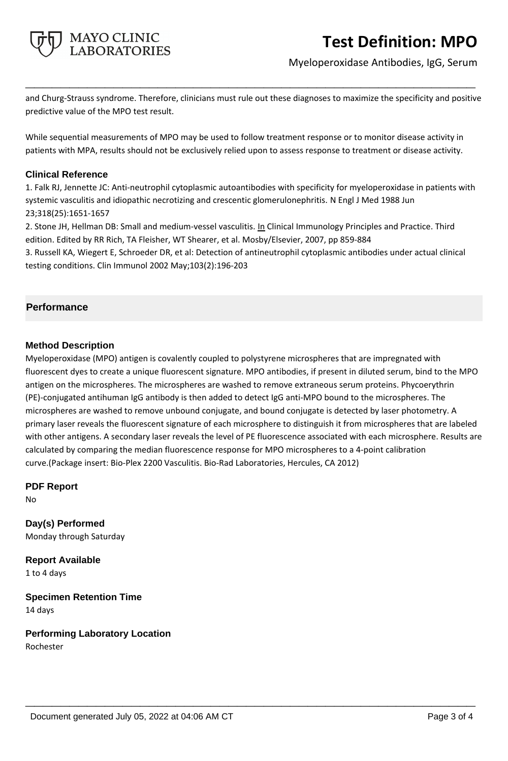

Myeloperoxidase Antibodies, IgG, Serum

and Churg-Strauss syndrome. Therefore, clinicians must rule out these diagnoses to maximize the specificity and positive predictive value of the MPO test result.

**\_\_\_\_\_\_\_\_\_\_\_\_\_\_\_\_\_\_\_\_\_\_\_\_\_\_\_\_\_\_\_\_\_\_\_\_\_\_\_\_\_\_\_\_\_\_\_\_\_\_\_**

While sequential measurements of MPO may be used to follow treatment response or to monitor disease activity in patients with MPA, results should not be exclusively relied upon to assess response to treatment or disease activity.

### **Clinical Reference**

1. Falk RJ, Jennette JC: Anti-neutrophil cytoplasmic autoantibodies with specificity for myeloperoxidase in patients with systemic vasculitis and idiopathic necrotizing and crescentic glomerulonephritis. N Engl J Med 1988 Jun 23;318(25):1651-1657

2. Stone JH, Hellman DB: Small and medium-vessel vasculitis. In Clinical Immunology Principles and Practice. Third edition. Edited by RR Rich, TA Fleisher, WT Shearer, et al. Mosby/Elsevier, 2007, pp 859-884

3. Russell KA, Wiegert E, Schroeder DR, et al: Detection of antineutrophil cytoplasmic antibodies under actual clinical testing conditions. Clin Immunol 2002 May;103(2):196-203

# **Performance**

# **Method Description**

Myeloperoxidase (MPO) antigen is covalently coupled to polystyrene microspheres that are impregnated with fluorescent dyes to create a unique fluorescent signature. MPO antibodies, if present in diluted serum, bind to the MPO antigen on the microspheres. The microspheres are washed to remove extraneous serum proteins. Phycoerythrin (PE)-conjugated antihuman IgG antibody is then added to detect IgG anti-MPO bound to the microspheres. The microspheres are washed to remove unbound conjugate, and bound conjugate is detected by laser photometry. A primary laser reveals the fluorescent signature of each microsphere to distinguish it from microspheres that are labeled with other antigens. A secondary laser reveals the level of PE fluorescence associated with each microsphere. Results are calculated by comparing the median fluorescence response for MPO microspheres to a 4-point calibration curve.(Package insert: Bio-Plex 2200 Vasculitis. Bio-Rad Laboratories, Hercules, CA 2012)

**\_\_\_\_\_\_\_\_\_\_\_\_\_\_\_\_\_\_\_\_\_\_\_\_\_\_\_\_\_\_\_\_\_\_\_\_\_\_\_\_\_\_\_\_\_\_\_\_\_\_\_**

**PDF Report**

No

**Day(s) Performed** Monday through Saturday

**Report Available** 1 to 4 days

**Specimen Retention Time** 14 days

**Performing Laboratory Location** Rochester